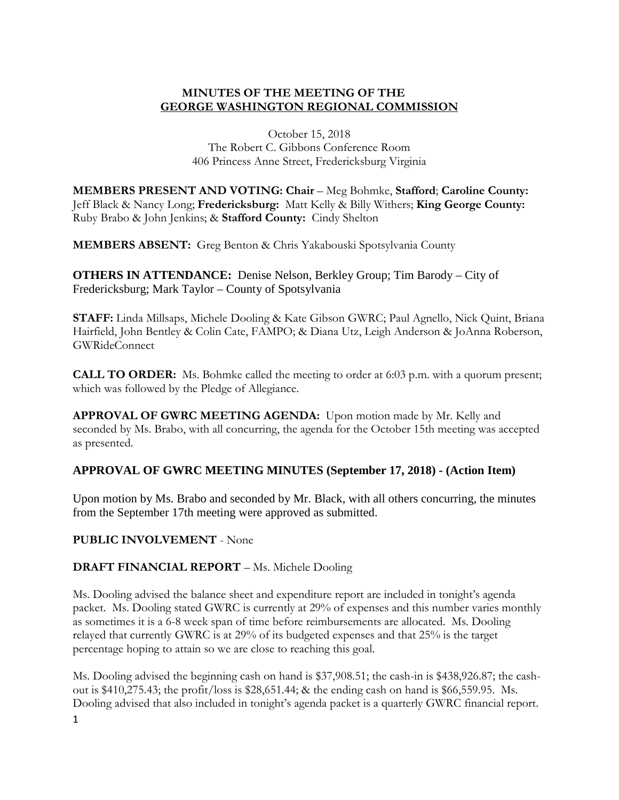#### **MINUTES OF THE MEETING OF THE GEORGE WASHINGTON REGIONAL COMMISSION**

October 15, 2018 The Robert C. Gibbons Conference Room 406 Princess Anne Street, Fredericksburg Virginia

**MEMBERS PRESENT AND VOTING: Chair** – Meg Bohmke, **Stafford**; **Caroline County:**  Jeff Black & Nancy Long; **Fredericksburg:** Matt Kelly & Billy Withers; **King George County:**  Ruby Brabo & John Jenkins; & **Stafford County:** Cindy Shelton

**MEMBERS ABSENT:** Greg Benton & Chris Yakabouski Spotsylvania County

**OTHERS IN ATTENDANCE:** Denise Nelson, Berkley Group; Tim Barody – City of Fredericksburg; Mark Taylor – County of Spotsylvania

**STAFF:** Linda Millsaps, Michele Dooling & Kate Gibson GWRC; Paul Agnello, Nick Quint, Briana Hairfield, John Bentley & Colin Cate, FAMPO; & Diana Utz, Leigh Anderson & JoAnna Roberson, GWRideConnect

**CALL TO ORDER:** Ms. Bohmke called the meeting to order at 6:03 p.m. with a quorum present; which was followed by the Pledge of Allegiance.

**APPROVAL OF GWRC MEETING AGENDA:** Upon motion made by Mr. Kelly and seconded by Ms. Brabo, with all concurring, the agenda for the October 15th meeting was accepted as presented.

## **APPROVAL OF GWRC MEETING MINUTES (September 17, 2018) - (Action Item)**

Upon motion by Ms. Brabo and seconded by Mr. Black, with all others concurring, the minutes from the September 17th meeting were approved as submitted.

**PUBLIC INVOLVEMENT** - None

## **DRAFT FINANCIAL REPORT** – Ms. Michele Dooling

Ms. Dooling advised the balance sheet and expenditure report are included in tonight's agenda packet. Ms. Dooling stated GWRC is currently at 29% of expenses and this number varies monthly as sometimes it is a 6-8 week span of time before reimbursements are allocated. Ms. Dooling relayed that currently GWRC is at 29% of its budgeted expenses and that 25% is the target percentage hoping to attain so we are close to reaching this goal.

Ms. Dooling advised the beginning cash on hand is \$37,908.51; the cash-in is \$438,926.87; the cashout is \$410,275.43; the profit/loss is \$28,651.44; & the ending cash on hand is \$66,559.95. Ms. Dooling advised that also included in tonight's agenda packet is a quarterly GWRC financial report.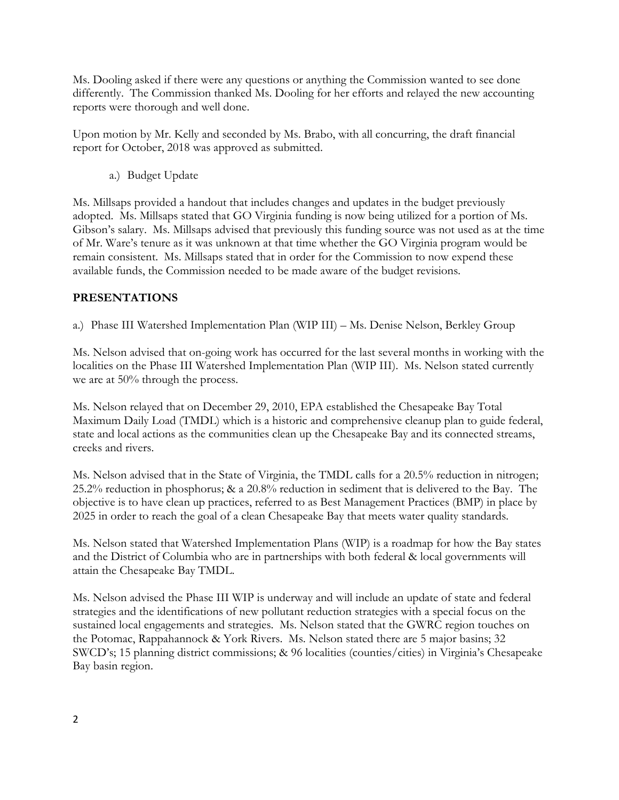Ms. Dooling asked if there were any questions or anything the Commission wanted to see done differently. The Commission thanked Ms. Dooling for her efforts and relayed the new accounting reports were thorough and well done.

Upon motion by Mr. Kelly and seconded by Ms. Brabo, with all concurring, the draft financial report for October, 2018 was approved as submitted.

a.) Budget Update

Ms. Millsaps provided a handout that includes changes and updates in the budget previously adopted. Ms. Millsaps stated that GO Virginia funding is now being utilized for a portion of Ms. Gibson's salary. Ms. Millsaps advised that previously this funding source was not used as at the time of Mr. Ware's tenure as it was unknown at that time whether the GO Virginia program would be remain consistent. Ms. Millsaps stated that in order for the Commission to now expend these available funds, the Commission needed to be made aware of the budget revisions.

# **PRESENTATIONS**

a.) Phase III Watershed Implementation Plan (WIP III) – Ms. Denise Nelson, Berkley Group

Ms. Nelson advised that on-going work has occurred for the last several months in working with the localities on the Phase III Watershed Implementation Plan (WIP III). Ms. Nelson stated currently we are at 50% through the process.

Ms. Nelson relayed that on December 29, 2010, EPA established the Chesapeake Bay Total Maximum Daily Load (TMDL) which is a historic and comprehensive cleanup plan to guide federal, state and local actions as the communities clean up the Chesapeake Bay and its connected streams, creeks and rivers.

Ms. Nelson advised that in the State of Virginia, the TMDL calls for a 20.5% reduction in nitrogen; 25.2% reduction in phosphorus; & a 20.8% reduction in sediment that is delivered to the Bay. The objective is to have clean up practices, referred to as Best Management Practices (BMP) in place by 2025 in order to reach the goal of a clean Chesapeake Bay that meets water quality standards.

Ms. Nelson stated that Watershed Implementation Plans (WIP) is a roadmap for how the Bay states and the District of Columbia who are in partnerships with both federal & local governments will attain the Chesapeake Bay TMDL.

Ms. Nelson advised the Phase III WIP is underway and will include an update of state and federal strategies and the identifications of new pollutant reduction strategies with a special focus on the sustained local engagements and strategies. Ms. Nelson stated that the GWRC region touches on the Potomac, Rappahannock & York Rivers. Ms. Nelson stated there are 5 major basins; 32 SWCD's; 15 planning district commissions; & 96 localities (counties/cities) in Virginia's Chesapeake Bay basin region.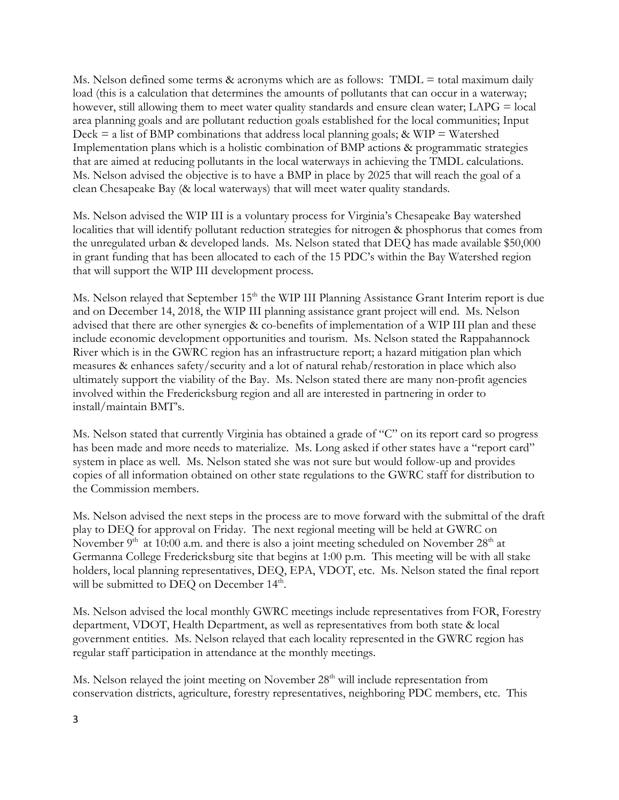Ms. Nelson defined some terms  $\&$  acronyms which are as follows: TMDL = total maximum daily load (this is a calculation that determines the amounts of pollutants that can occur in a waterway; however, still allowing them to meet water quality standards and ensure clean water; LAPG = local area planning goals and are pollutant reduction goals established for the local communities; Input Deck  $=$  a list of BMP combinations that address local planning goals; & WIP  $=$  Watershed Implementation plans which is a holistic combination of BMP actions & programmatic strategies that are aimed at reducing pollutants in the local waterways in achieving the TMDL calculations. Ms. Nelson advised the objective is to have a BMP in place by 2025 that will reach the goal of a clean Chesapeake Bay (& local waterways) that will meet water quality standards.

Ms. Nelson advised the WIP III is a voluntary process for Virginia's Chesapeake Bay watershed localities that will identify pollutant reduction strategies for nitrogen & phosphorus that comes from the unregulated urban & developed lands. Ms. Nelson stated that DEQ has made available \$50,000 in grant funding that has been allocated to each of the 15 PDC's within the Bay Watershed region that will support the WIP III development process.

Ms. Nelson relayed that September 15<sup>th</sup> the WIP III Planning Assistance Grant Interim report is due and on December 14, 2018, the WIP III planning assistance grant project will end. Ms. Nelson advised that there are other synergies & co-benefits of implementation of a WIP III plan and these include economic development opportunities and tourism. Ms. Nelson stated the Rappahannock River which is in the GWRC region has an infrastructure report; a hazard mitigation plan which measures & enhances safety/security and a lot of natural rehab/restoration in place which also ultimately support the viability of the Bay. Ms. Nelson stated there are many non-profit agencies involved within the Fredericksburg region and all are interested in partnering in order to install/maintain BMT's.

Ms. Nelson stated that currently Virginia has obtained a grade of "C" on its report card so progress has been made and more needs to materialize. Ms. Long asked if other states have a "report card" system in place as well. Ms. Nelson stated she was not sure but would follow-up and provides copies of all information obtained on other state regulations to the GWRC staff for distribution to the Commission members.

Ms. Nelson advised the next steps in the process are to move forward with the submittal of the draft play to DEQ for approval on Friday. The next regional meeting will be held at GWRC on November  $9<sup>th</sup>$  at 10:00 a.m. and there is also a joint meeting scheduled on November  $28<sup>th</sup>$  at Germanna College Fredericksburg site that begins at 1:00 p.m. This meeting will be with all stake holders, local planning representatives, DEQ, EPA, VDOT, etc. Ms. Nelson stated the final report will be submitted to DEQ on December  $14<sup>th</sup>$ .

Ms. Nelson advised the local monthly GWRC meetings include representatives from FOR, Forestry department, VDOT, Health Department, as well as representatives from both state & local government entities. Ms. Nelson relayed that each locality represented in the GWRC region has regular staff participation in attendance at the monthly meetings.

Ms. Nelson relayed the joint meeting on November  $28<sup>th</sup>$  will include representation from conservation districts, agriculture, forestry representatives, neighboring PDC members, etc. This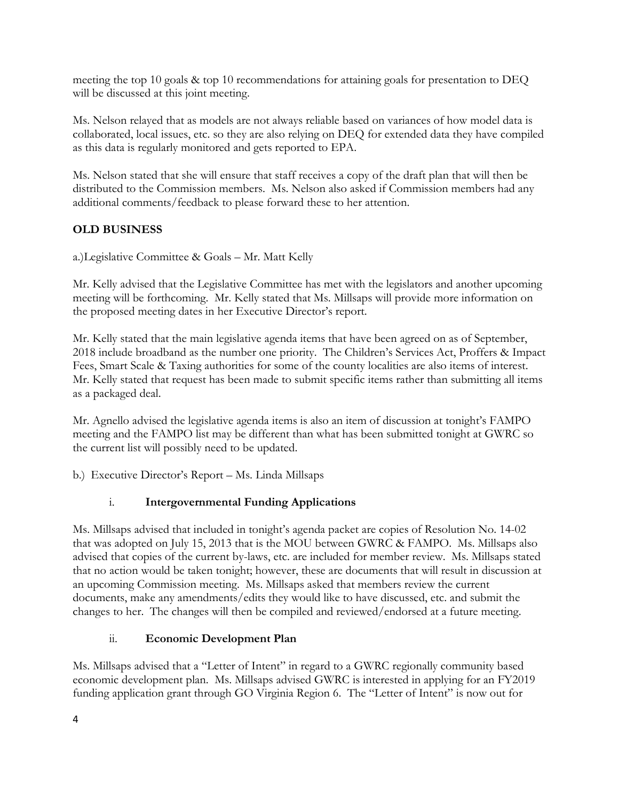meeting the top 10 goals & top 10 recommendations for attaining goals for presentation to DEQ will be discussed at this joint meeting.

Ms. Nelson relayed that as models are not always reliable based on variances of how model data is collaborated, local issues, etc. so they are also relying on DEQ for extended data they have compiled as this data is regularly monitored and gets reported to EPA.

Ms. Nelson stated that she will ensure that staff receives a copy of the draft plan that will then be distributed to the Commission members. Ms. Nelson also asked if Commission members had any additional comments/feedback to please forward these to her attention.

# **OLD BUSINESS**

a.)Legislative Committee & Goals – Mr. Matt Kelly

Mr. Kelly advised that the Legislative Committee has met with the legislators and another upcoming meeting will be forthcoming. Mr. Kelly stated that Ms. Millsaps will provide more information on the proposed meeting dates in her Executive Director's report.

Mr. Kelly stated that the main legislative agenda items that have been agreed on as of September, 2018 include broadband as the number one priority. The Children's Services Act, Proffers & Impact Fees, Smart Scale & Taxing authorities for some of the county localities are also items of interest. Mr. Kelly stated that request has been made to submit specific items rather than submitting all items as a packaged deal.

Mr. Agnello advised the legislative agenda items is also an item of discussion at tonight's FAMPO meeting and the FAMPO list may be different than what has been submitted tonight at GWRC so the current list will possibly need to be updated.

b.) Executive Director's Report – Ms. Linda Millsaps

## i. **Intergovernmental Funding Applications**

Ms. Millsaps advised that included in tonight's agenda packet are copies of Resolution No. 14-02 that was adopted on July 15, 2013 that is the MOU between GWRC & FAMPO. Ms. Millsaps also advised that copies of the current by-laws, etc. are included for member review. Ms. Millsaps stated that no action would be taken tonight; however, these are documents that will result in discussion at an upcoming Commission meeting. Ms. Millsaps asked that members review the current documents, make any amendments/edits they would like to have discussed, etc. and submit the changes to her. The changes will then be compiled and reviewed/endorsed at a future meeting.

## ii. **Economic Development Plan**

Ms. Millsaps advised that a "Letter of Intent" in regard to a GWRC regionally community based economic development plan. Ms. Millsaps advised GWRC is interested in applying for an FY2019 funding application grant through GO Virginia Region 6. The "Letter of Intent" is now out for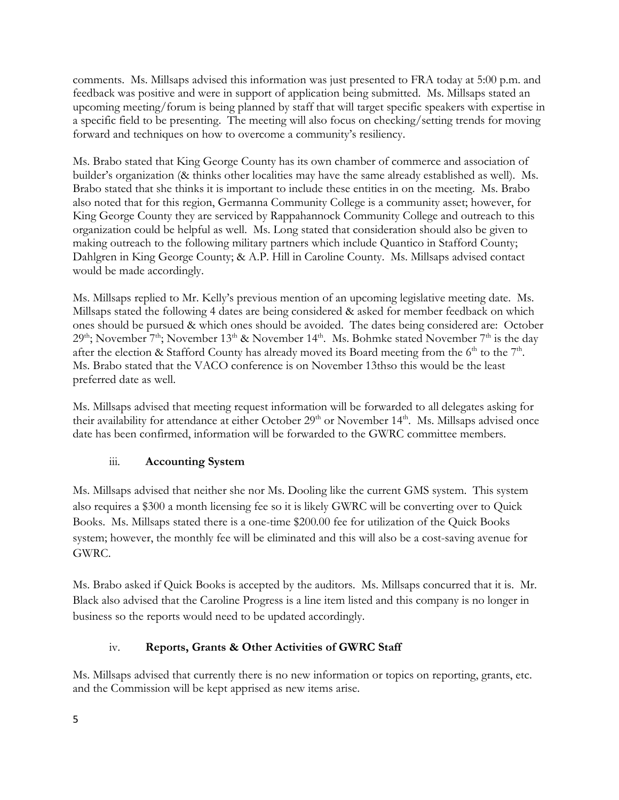comments. Ms. Millsaps advised this information was just presented to FRA today at 5:00 p.m. and feedback was positive and were in support of application being submitted. Ms. Millsaps stated an upcoming meeting/forum is being planned by staff that will target specific speakers with expertise in a specific field to be presenting. The meeting will also focus on checking/setting trends for moving forward and techniques on how to overcome a community's resiliency.

Ms. Brabo stated that King George County has its own chamber of commerce and association of builder's organization (& thinks other localities may have the same already established as well). Ms. Brabo stated that she thinks it is important to include these entities in on the meeting. Ms. Brabo also noted that for this region, Germanna Community College is a community asset; however, for King George County they are serviced by Rappahannock Community College and outreach to this organization could be helpful as well. Ms. Long stated that consideration should also be given to making outreach to the following military partners which include Quantico in Stafford County; Dahlgren in King George County; & A.P. Hill in Caroline County. Ms. Millsaps advised contact would be made accordingly.

Ms. Millsaps replied to Mr. Kelly's previous mention of an upcoming legislative meeting date. Ms. Millsaps stated the following 4 dates are being considered & asked for member feedback on which ones should be pursued & which ones should be avoided. The dates being considered are: October  $29<sup>th</sup>$ ; November  $7<sup>th</sup>$ ; November  $13<sup>th</sup>$  & November  $14<sup>th</sup>$ . Ms. Bohmke stated November  $7<sup>th</sup>$  is the day after the election & Stafford County has already moved its Board meeting from the  $6<sup>th</sup>$  to the  $7<sup>th</sup>$ . Ms. Brabo stated that the VACO conference is on November 13thso this would be the least preferred date as well.

Ms. Millsaps advised that meeting request information will be forwarded to all delegates asking for their availability for attendance at either October 29<sup>th</sup> or November 14<sup>th</sup>. Ms. Millsaps advised once date has been confirmed, information will be forwarded to the GWRC committee members.

## iii. **Accounting System**

Ms. Millsaps advised that neither she nor Ms. Dooling like the current GMS system. This system also requires a \$300 a month licensing fee so it is likely GWRC will be converting over to Quick Books. Ms. Millsaps stated there is a one-time \$200.00 fee for utilization of the Quick Books system; however, the monthly fee will be eliminated and this will also be a cost-saving avenue for GWRC.

Ms. Brabo asked if Quick Books is accepted by the auditors. Ms. Millsaps concurred that it is. Mr. Black also advised that the Caroline Progress is a line item listed and this company is no longer in business so the reports would need to be updated accordingly.

## iv. **Reports, Grants & Other Activities of GWRC Staff**

Ms. Millsaps advised that currently there is no new information or topics on reporting, grants, etc. and the Commission will be kept apprised as new items arise.